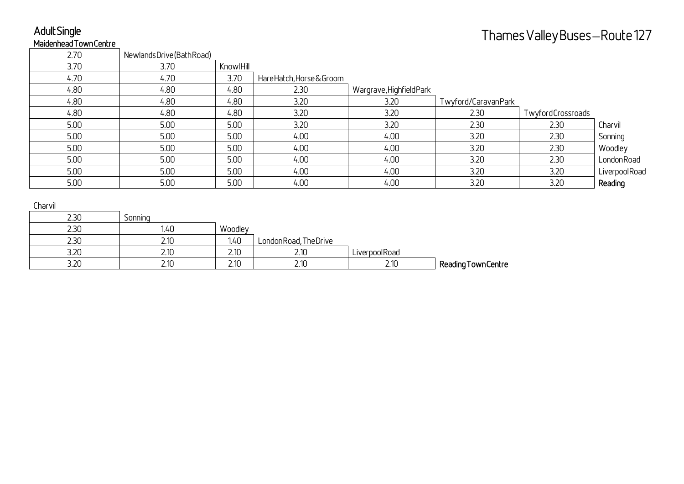# Adult Single

| MaidenheadTownCentre |                            |           |                           |                          |                     |                               |               |
|----------------------|----------------------------|-----------|---------------------------|--------------------------|---------------------|-------------------------------|---------------|
|                      |                            |           |                           |                          |                     | Thames Valley Buses—Route 127 |               |
| 2.70                 | Newlands Drive (Bath Road) |           |                           |                          |                     |                               |               |
| 3.70                 | 3.70                       | KnowlHill |                           |                          |                     |                               |               |
| 4.70                 | 4.70                       | 3.70      | Hare Hatch, Horse & Groom |                          |                     |                               |               |
| 4.80                 | 4.80                       | 4.80      | 2.30                      | Wargrave, Highfield Park |                     |                               |               |
| 4.80                 | 4.80                       | 4.80      | 3.20                      | 3.20                     | Twyford/CaravanPark |                               |               |
| 4.80                 | 4.80                       | 4.80      | 3.20                      | 3.20                     | 2.30                | TwyfordCrossroads             |               |
| 5.00                 | 5.00                       | 5.00      | 3.20                      | 3.20                     | 2.30                | 2.30                          | Charvil       |
| 5.00                 | 5.00                       | 5.00      | 4.00                      | 4.00                     | 3.20                | 2.30                          | Sonning       |
| 5.00                 | 5.00                       | 5.00      | 4.00                      | 4.00                     | 3.20                | 2.30                          | Woodley       |
| 5.00                 | 5.00                       | 5.00      | 4.00                      | 4.00                     | 3.20                | 2.30                          | LondonRoad    |
| 5.00                 | 5.00                       | 5.00      | 4.00                      | 4.00                     | 3.20                | 3.20                          | LiverpoolRoad |
| 5.00                 | 5.00                       | 5.00      | 4.00                      | 4.00                     | 3.20                | 3.20                          | Reading       |
|                      |                            |           |                           |                          |                     |                               |               |
| Charvil              |                            |           |                           |                          |                     |                               |               |
| 2.30                 | Sonning                    |           |                           |                          |                     |                               |               |
| 2.30                 | 1.40                       | Woodley   |                           |                          |                     |                               |               |
| 2.30                 | 2.10                       | 1.40      | LondonRoad, TheDrive      |                          |                     |                               |               |
| 3.20                 | 2.10                       | 2.10      | 2.10                      | LiverpoolRoad            |                     |                               |               |
| 3.20                 | 2.10                       | 2.10      | 2.10                      | 2.10                     | Reading Town Centre |                               |               |

| <b>CHOLVIL</b> |         |         |                        |               |                     |
|----------------|---------|---------|------------------------|---------------|---------------------|
| 2.30           | Sonning |         |                        |               |                     |
| 2.30           | 1.40    | Woodley |                        |               |                     |
| 2.30           | 2.10    | 1.40    | London Road, The Drive |               |                     |
| 3.20           |         | 2.10    | 2.10                   | LiverpoolRoad |                     |
| 3.20           |         | 2.10    | 2.10                   | 2.10          | Reading Town Centre |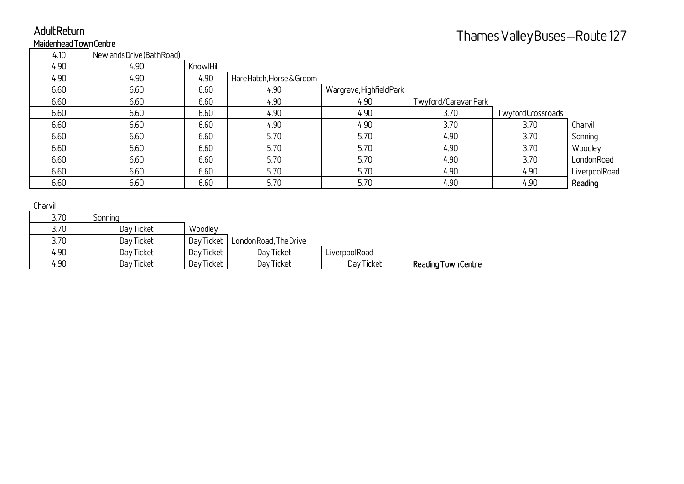# Adult Return

| <b>AUUILRELUI II</b>          |                         |            |                           |                          |                     | Thames Valley Buses—Route 127 |               |
|-------------------------------|-------------------------|------------|---------------------------|--------------------------|---------------------|-------------------------------|---------------|
| <b>Maidenhead Town Centre</b> |                         |            |                           |                          |                     |                               |               |
| 4.10                          | NewlandsDrive(BathRoad) |            |                           |                          |                     |                               |               |
| 4.90                          | 4.90                    | KnowlHill  |                           |                          |                     |                               |               |
| 4.90                          | 4.90                    | 4.90       | Hare Hatch, Horse & Groom |                          |                     |                               |               |
| 6.60                          | 6.60                    | 6.60       | 4.90                      | Wargrave, Highfield Park |                     |                               |               |
| 6.60                          | 6.60                    | 6.60       | 4.90                      | 4.90                     | Twyford/CaravanPark |                               |               |
| 6.60                          | 6.60                    | 6.60       | 4.90                      | 4.90                     | 3.70                | TwyfordCrossroads             |               |
| 6.60                          | 6.60                    | 6.60       | 4.90                      | 4.90                     | 3.70                | 3.70                          | Charvil       |
| 6.60                          | 6.60                    | 6.60       | 5.70                      | 5.70                     | 4.90                | 3.70                          | Sonning       |
| 6.60                          | 6.60                    | 6.60       | 5.70                      | 5.70                     | 4.90                | 3.70                          | Woodley       |
| 6.60                          | 6.60                    | 6.60       | 5.70                      | 5.70                     | 4.90                | 3.70                          | LondonRoad    |
| 6.60                          | 6.60                    | 6.60       | 5.70                      | 5.70                     | 4.90                | 4.90                          | LiverpoolRoad |
| 6.60                          | 6.60                    | 6.60       | 5.70                      | 5.70                     | 4.90                | 4.90                          | Reading       |
| Charvil                       |                         |            |                           |                          |                     |                               |               |
| 3.70                          | Sonning                 |            |                           |                          |                     |                               |               |
| 3.70                          | Day Ticket              | Woodley    |                           |                          |                     |                               |               |
| 3.70                          | Day Ticket              | Day Ticket | London Road, The Drive    |                          |                     |                               |               |
| 4.90                          | Day Ticket              | Day Ticket | Day Ticket                | LiverpoolRoad            |                     |                               |               |
| 4.90                          | Day Ticket              | Day Ticket | Day Ticket                | Day Ticket               | Reading Town Centre |                               |               |

#### Charvil

| 3.70 | Sonning    |            |                        |               |                     |
|------|------------|------------|------------------------|---------------|---------------------|
| 3.70 | Day Ticket | Woodley    |                        |               |                     |
| 3.70 | Day Ticket | Day Ticket | London Road, The Drive |               |                     |
| 4.90 | Day Ticket | Day Ticket | Day Ticket             | LiverpoolRoad |                     |
| 4.90 | Day Ticket | Day Ticket | Day Ticket             | Day Ticket    | Reading Town Centre |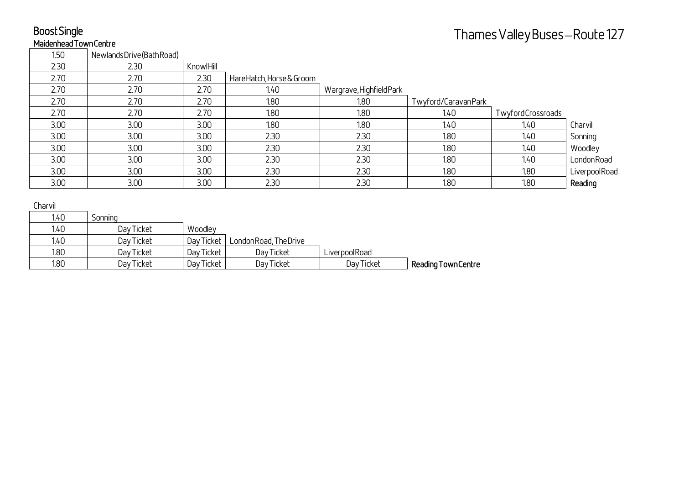### Boost Single Maidenhead Town Centre

| BOOSE SINGLE         |                         |            |                           |                          |                     | Thames Valley Buses—Route 127 |               |
|----------------------|-------------------------|------------|---------------------------|--------------------------|---------------------|-------------------------------|---------------|
| MaidenheadTownCentre |                         |            |                           |                          |                     |                               |               |
| 1.50                 | NewlandsDrive(BathRoad) |            |                           |                          |                     |                               |               |
| 2.30                 | 2.30                    | KnowlHill  |                           |                          |                     |                               |               |
| 2.70                 | 2.70                    | 2.30       | Hare Hatch, Horse & Groom |                          |                     |                               |               |
| 2.70                 | 2.70                    | 2.70       | 1.40                      | Wargrave, Highfield Park |                     |                               |               |
| 2.70                 | 2.70                    | 2.70       | 1.80                      | 1.80                     | Twyford/CaravanPark |                               |               |
| 2.70                 | 2.70                    | 2.70       | 1.80                      | 1.80                     | 1.40                | TwyfordCrossroads             |               |
| 3.00                 | 3.00                    | 3.00       | 1.80                      | 1.80                     | 1.40                | 1.40                          | Charvil       |
| 3.00                 | 3.00                    | 3.00       | 2.30                      | 2.30                     | 1.80                | 140                           | Sonning       |
| 3.00                 | 3.00                    | 3.00       | 2.30                      | 2.30                     | 1.80                | 1.40                          | Woodley       |
| 3.00                 | 3.00                    | 3.00       | 2.30                      | 2.30                     | 1.80                | 1.40                          | LondonRoad    |
| 3.00                 | 3.00 <sub>2</sub>       | 3.00       | 2.30                      | 2.30                     | 1.80                | 1.80                          | LiverpoolRoad |
| 3.00                 | 3.00                    | 3.00       | 2.30                      | 2.30                     | 1.80                | 1.80                          | Reading       |
| Charvil              |                         |            |                           |                          |                     |                               |               |
| 1.40                 | Sonning                 |            |                           |                          |                     |                               |               |
| 1.40                 | Day Ticket              | Woodley    |                           |                          |                     |                               |               |
| 1.40                 | Day Ticket              | Day Ticket | London Road, The Drive    |                          |                     |                               |               |
| 1.80                 | Day Ticket              | Day Ticket | Day Ticket                | LiverpoolRoad            |                     |                               |               |
| 1.80                 | Day Ticket              | Day Ticket | Day Ticket                | Day Ticket               | Reading Town Centre |                               |               |

| ------ |            |            |                        |               |                     |
|--------|------------|------------|------------------------|---------------|---------------------|
| 1.40   | Sonning    |            |                        |               |                     |
| 1.40   | Day Ticket | Woodley    |                        |               |                     |
| 1.40   | Day Ticket | Day Ticket | London Road, The Drive |               |                     |
| 1.80   | Day Ticket | Day Ticket | Day Ticket             | LiverpoolRoad |                     |
| 1.80   | Day Ticket | Day Ticket | Day Ticket             | Day Ticket    | Reading Town Centre |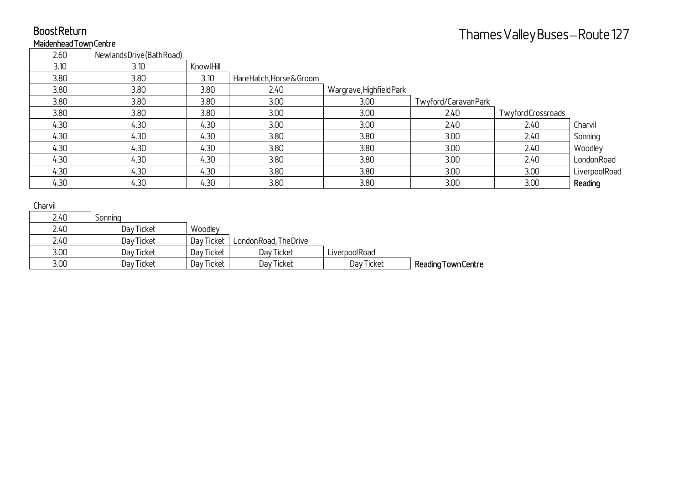# Boost Return

### Maidenhead Town Centre

| Thames Valley Buses—Route 127<br>Maidenhead Town Centre<br>2.60<br>NewlandsDrive(BathRoad) |               |
|--------------------------------------------------------------------------------------------|---------------|
|                                                                                            |               |
|                                                                                            |               |
| 3.10<br>3.10<br>KnowlHill                                                                  |               |
| 3.80<br>3.80<br>3.10<br>Hare Hatch, Horse & Groom                                          |               |
| 3.80<br>3.80<br>3.80<br>2.40<br>Wargrave, Highfield Park                                   |               |
| 3.80<br>3.80<br>3.80<br>3.00 <sub>2</sub><br>3.00 <sub>2</sub><br>Twyford/CaravanPark      |               |
| 3.80<br>3.80<br>3.80<br>3.00 <sub>2</sub><br>3.00<br>2.40<br>TwyfordCrossroads             |               |
| 4.30<br>3.00<br>4.30<br>4.30<br>3.00<br>2.40<br>2.40                                       | Charvil       |
| 4.30<br>3.80<br>3.80<br>4.30<br>4.30<br>3.00<br>2.40                                       | Sonning       |
| 4.30<br>4.30<br>4.30<br>3.80<br>3.80<br>3.00<br>2.40                                       | Woodley       |
| 4.30<br>4.30<br>3.80<br>3.80<br>3.00<br>4.30<br>2.40                                       | LondonRoad    |
| 4.30<br>4.30<br>4.30<br>3.80<br>3.80<br>3.00<br>3.00                                       | LiverpoolRoad |
| 3.80<br>4.30<br>4.30<br>3.80<br>3.00<br>4.30<br>3.00                                       | Reading       |
| Charvil                                                                                    |               |
| 2.40<br>Sonning                                                                            |               |
| 2.40<br>Day Ticket<br>Woodley                                                              |               |
| 2.40<br>Day Ticket<br>Day Ticket<br>London Road, The Drive                                 |               |
| 3.00<br>Day Ticket<br>Day Ticket<br>LiverpoolRoad<br>Day Ticket                            |               |
| 3.00<br>Day Ticket<br>Reading Town Centre<br>Day Ticket<br>Day Ticket<br>Day Ticket        |               |

| ----- |            |            |                        |               |                     |
|-------|------------|------------|------------------------|---------------|---------------------|
| 2.40  | Sonnina    |            |                        |               |                     |
| 2.40  | Day Ticket | Woodley    |                        |               |                     |
| 2.40  | Day Ticket | Day Ticket | London Road, The Drive |               |                     |
| 3.00  | Day Ticket | Day Ticket | Day Ticket             | LiverpoolRoad |                     |
| 3.00  | Day Ticket | Day Ticket | Day Ticket             | Day Ticket    | Reading Town Centre |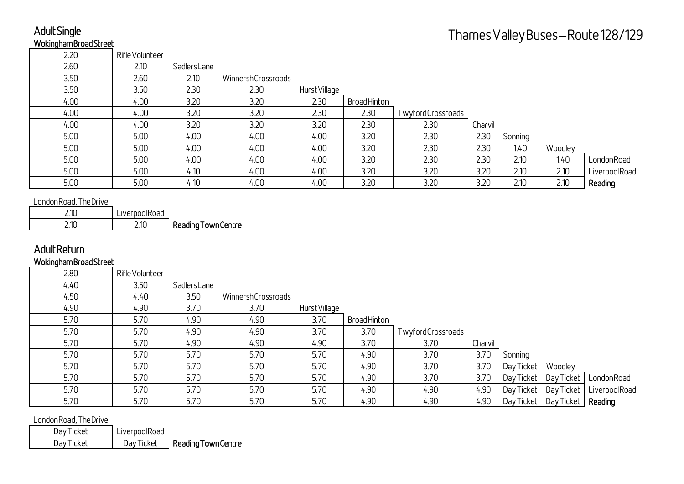### Adult Single Wokingham Broad Street

| AOUIL SINGLE                               |                 |                     |                    |               |             |                   |         |            |            | Thames Valley Buses—Route 128/129 |
|--------------------------------------------|-----------------|---------------------|--------------------|---------------|-------------|-------------------|---------|------------|------------|-----------------------------------|
| <b>WokinghamBroadStreet</b>                |                 |                     |                    |               |             |                   |         |            |            |                                   |
| 2.20                                       | Rifle Volunteer |                     |                    |               |             |                   |         |            |            |                                   |
| 2.60                                       | 2.10            | SadlersLane         |                    |               |             |                   |         |            |            |                                   |
| 3.50                                       | 2.60            | 2.10                | WinnershCrossroads |               |             |                   |         |            |            |                                   |
| 3.50                                       | 3.50            | 2.30                | 2.30               | Hurst Village |             |                   |         |            |            |                                   |
| 4.00                                       | 4.00            | 3.20                | 3.20               | 2.30          | BroadHinton |                   |         |            |            |                                   |
| 4.00                                       | 4.00            | 3.20                | 3.20               | 2.30          | 2.30        | TwyfordCrossroads |         |            |            |                                   |
| 4.00                                       | 4.00            | 3.20                | 3.20               | 3.20          | 2.30        | 2.30              | Charvil |            |            |                                   |
| 5.00                                       | 5.00            | 4.00                | 4.00               | 4.00          | 3.20        | 2.30              | 2.30    | Sonning    |            |                                   |
| 5.00                                       | 5.00            | 4.00                | 4.00               | 4.00          | 3.20        | 2.30              | 2.30    | 1.40       | Woodley    |                                   |
| 5.00                                       | 5.00            | 4.00                | 4.00               | 4.00          | 3.20        | 2.30              | 2.30    | 2.10       | 1.40       | LondonRoad                        |
| 5.00                                       | 5.00            | 4.10                | 4.00               | 4.00          | 3.20        | 3.20              | 3.20    | 2.10       | 2.10       | LiverpoolRoad                     |
| 5.00                                       | 5.00            | 4.10                | 4.00               | 4.00          | 3.20        | 3.20              | 3.20    | 2.10       | 2.10       | Reading                           |
| London Road, The Drive                     |                 |                     |                    |               |             |                   |         |            |            |                                   |
| 2.10                                       | LiverpoolRoad   |                     |                    |               |             |                   |         |            |            |                                   |
| 2.10                                       | 2.10            | Reading Town Centre |                    |               |             |                   |         |            |            |                                   |
| <b>AdultReturn</b><br>WokinghamBroadStreet |                 |                     |                    |               |             |                   |         |            |            |                                   |
| 2.80                                       | Rifle Volunteer |                     |                    |               |             |                   |         |            |            |                                   |
| 4.40                                       | 3.50            | SadlersLane         |                    |               |             |                   |         |            |            |                                   |
| 4.50                                       | 4.40            | 3.50                | WinnershCrossroads |               |             |                   |         |            |            |                                   |
| 4.90                                       | 4.90            | 3.70                | 3.70               | Hurst Village |             |                   |         |            |            |                                   |
| 5.70                                       | 5.70            | 4.90                | 4.90               | 3.70          | BroadHinton |                   |         |            |            |                                   |
| 5.70                                       | 5.70            | 4.90                | 4.90               | 3.70          | 3.70        | TwyfordCrossroads |         |            |            |                                   |
| 5.70                                       | 5.70            | 4.90                | 4.90               | 4.90          | 3.70        | 3.70              | Charvil |            |            |                                   |
| 5.70                                       | 5.70            | 5.70                | 5.70               | 5.70          | 4.90        | 3.70              | 3.70    | Sonning    |            |                                   |
| 5.70                                       | 5.70            | 5.70                | 5.70               | 5.70          | 4.90        | 3.70              | 3.70    | Day Ticket | Woodley    |                                   |
| 5.70                                       | 5.70            | 5.70                | 5.70               | 5.70          | 4.90        | 3.70              | 3.70    | Day Ticket | Day Ticket | LondonRoad                        |
| 5.70                                       | 5.70            | 5.70                | 5.70               | 5.70          | 4.90        | 4.90              | 4.90    | Day Ticket | Day Ticket | LiverpoolRoad                     |
| 5.70                                       | 5.70            | 5.70                | 5.70               | 5.70          | 4.90        | 4.90              | 4.90    | Day Ticket | Day Ticket | Reading                           |
| London Road, The Drive                     |                 |                     |                    |               |             |                   |         |            |            |                                   |
| Day Ticket                                 | LiverpoolRoad   |                     |                    |               |             |                   |         |            |            |                                   |
| Day Ticket                                 | Day Ticket      | Reading Town Centre |                    |               |             |                   |         |            |            |                                   |

| 2 IN | LiverpoolRoad |                     |
|------|---------------|---------------------|
| ≀1Օ  | 2.10          | Reading Town Centre |

# Adult Return

#### Wokingham Broad Street

| 2.80                   | Rifle Volunteer |             |                    |               |             |                   |         |            |            |               |
|------------------------|-----------------|-------------|--------------------|---------------|-------------|-------------------|---------|------------|------------|---------------|
| 4.40                   | 3.50            | SadlersLane |                    |               |             |                   |         |            |            |               |
| 4.50                   | 4.40            | 3.50        | WinnershCrossroads |               |             |                   |         |            |            |               |
| 4.90                   | 4.90            | 3.70        | 3.70               | Hurst Village |             |                   |         |            |            |               |
| 5.70                   | 5.70            | 4.90        | 4.90               | 3.70          | BroadHinton |                   |         |            |            |               |
| 5.70                   | 5.70            | 4.90        | 4.90               | 3.70          | 3.70        | TwyfordCrossroads |         |            |            |               |
| 5.70                   | 5.70            | 4.90        | 4.90               | 4.90          | 3.70        | 3.70              | Charvil |            |            |               |
| 5.70                   | 5.70            | 5.70        | 5.70               | 5.70          | 4.90        | 3.70              | 3.70    | Sonning    |            |               |
| 5.70                   | 5.70            | 5.70        | 5.70               | 5.70          | 4.90        | 3.70              | 3.70    | Day Ticket | Woodley    |               |
| 5.70                   | 5.70            | 5.70        | 5.70               | 5.70          | 4.90        | 3.70              | 3.70    | Day Ticket | Day Ticket | LondonRoad    |
| 5.70                   | 5.70            | 5.70        | 5.70               | 5.70          | 4.90        | 4.90              | 4.90    | Day Ticket | Day Ticket | LiverpoolRoad |
| 5.70                   | 5.70            | 5.70        | 5.70               | 5.70          | 4.90        | 4.90              | 4.90    | Day Ticket | Day Ticket | Reading       |
| London Road, The Drive |                 |             |                    |               |             |                   |         |            |            |               |

| Day Ticket | LiverpoolRoad |                     |
|------------|---------------|---------------------|
| Day Ticket | Day Ticket    | Reading Town Centre |